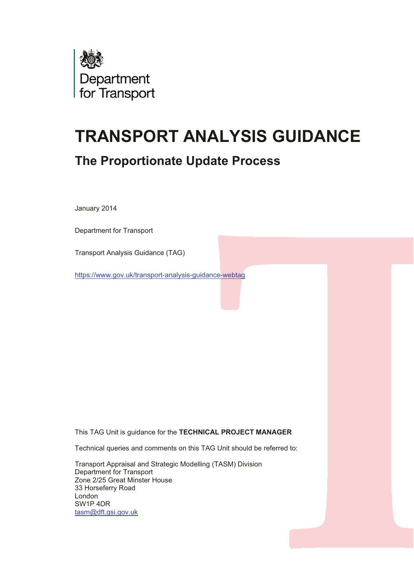

# **TRANSPORT ANALYSIS GUIDANCE The Proportionate Update Process**

January 2014

Department for Transport

Transport Analysis Guidance (TAG)

https://www.gov.uk/transport-analysis-guidance-webtag

This TAG Unit is guidance for the TECHNICAL PROJECT MANAGER

Technical queries and comments on this TAG Unit should be referred to:

Transport Appraisal and Strategic Modelling (TASM) Division Department for Transport Zone 2/25 Great Minster House 33 Horseferry Road London SW1P 4DR tasm@dft.gsi.gov.uk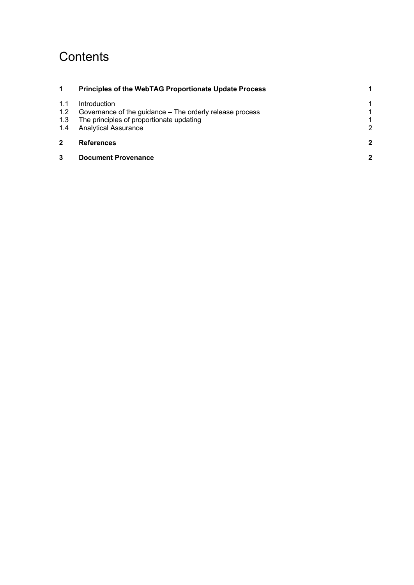# **Contents**

| $\mathbf 1$              | <b>Principles of the WebTAG Proportionate Update Process</b>                                                                                        |        |
|--------------------------|-----------------------------------------------------------------------------------------------------------------------------------------------------|--------|
| 1.1<br>1.2<br>1.3<br>1.4 | Introduction<br>Governance of the guidance – The orderly release process<br>The principles of proportionate updating<br><b>Analytical Assurance</b> | 1<br>2 |
| $\overline{2}$           | <b>References</b>                                                                                                                                   | 2      |
|                          | <b>Document Provenance</b>                                                                                                                          | 2      |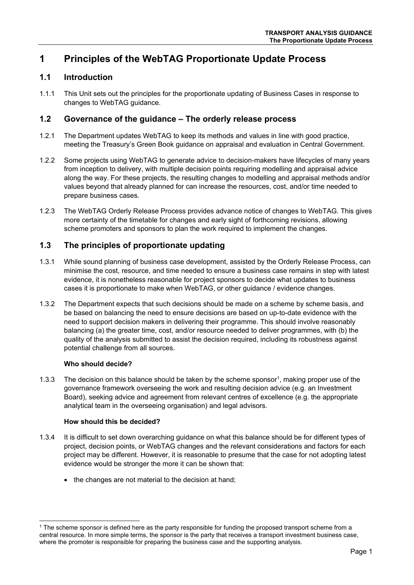# **1 Principles of the WebTAG Proportionate Update Process**

## **1.1 Introduction**

1.1.1 This Unit sets out the principles for the proportionate updating of Business Cases in response to changes to WebTAG guidance.

### **1.2 Governance of the guidance – The orderly release process**

- 1.2.1 The Department updates WebTAG to keep its methods and values in line with good practice, meeting the Treasury's Green Book guidance on appraisal and evaluation in Central Government.
- 1.2.2 Some projects using WebTAG to generate advice to decision-makers have lifecycles of many years from inception to delivery, with multiple decision points requiring modelling and appraisal advice along the way. For these projects, the resulting changes to modelling and appraisal methods and/or values beyond that already planned for can increase the resources, cost, and/or time needed to prepare business cases.
- 1.2.3 The WebTAG Orderly Release Process provides advance notice of changes to WebTAG. This gives more certainty of the timetable for changes and early sight of forthcoming revisions, allowing scheme promoters and sponsors to plan the work required to implement the changes.

# **1.3 The principles of proportionate updating**

- 1.3.1 While sound planning of business case development, assisted by the Orderly Release Process, can minimise the cost, resource, and time needed to ensure a business case remains in step with latest evidence, it is nonetheless reasonable for project sponsors to decide what updates to business cases it is proportionate to make when WebTAG, or other guidance / evidence changes.
- 1.3.2 The Department expects that such decisions should be made on a scheme by scheme basis, and be based on balancing the need to ensure decisions are based on up-to-date evidence with the need to support decision makers in delivering their programme. This should involve reasonably balancing (a) the greater time, cost, and/or resource needed to deliver programmes, with (b) the quality of the analysis submitted to assist the decision required, including its robustness against potential challenge from all sources.

#### **Who should decide?**

1.3.3 The decision on this balance should be taken by the scheme sponsor<sup>1</sup>, making proper use of the governance framework overseeing the work and resulting decision advice (e.g. an Investment Board), seeking advice and agreement from relevant centres of excellence (e.g. the appropriate analytical team in the overseeing organisation) and legal advisors.

#### **How should this be decided?**

- 1.3.4 It is difficult to set down overarching guidance on what this balance should be for different types of project, decision points, or WebTAG changes and the relevant considerations and factors for each project may be different. However, it is reasonable to presume that the case for not adopting latest evidence would be stronger the more it can be shown that:
	- the changes are not material to the decision at hand;

<sup>-</sup>1 The scheme sponsor is defined here as the party responsible for funding the proposed transport scheme from a central resource. In more simple terms, the sponsor is the party that receives a transport investment business case, where the promoter is responsible for preparing the business case and the supporting analysis.